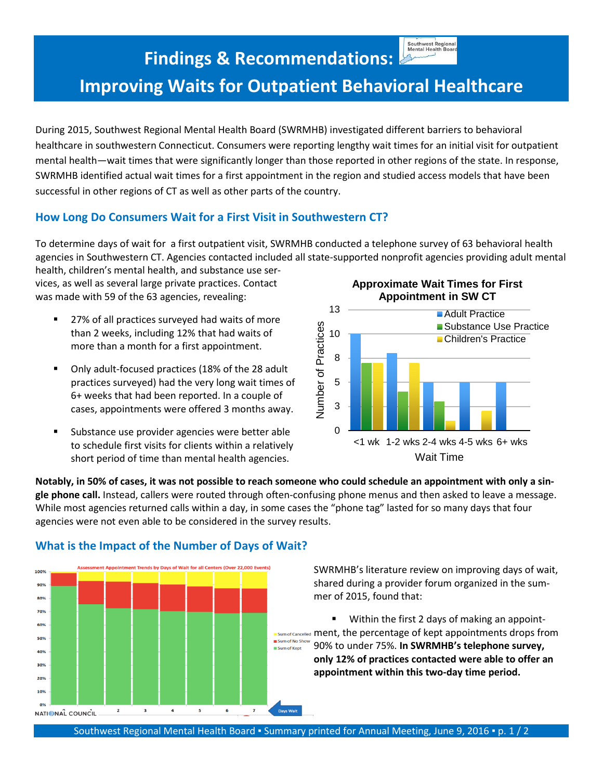Southwest Regional<br>Mental Health Board

# **Findings & Recommendations: Improving Waits for Outpatient Behavioral Healthcare**

During 2015, Southwest Regional Mental Health Board (SWRMHB) investigated different barriers to behavioral healthcare in southwestern Connecticut. Consumers were reporting lengthy wait times for an initial visit for outpatient mental health—wait times that were significantly longer than those reported in other regions of the state. In response, SWRMHB identified actual wait times for a first appointment in the region and studied access models that have been successful in other regions of CT as well as other parts of the country.

### **How Long Do Consumers Wait for a First Visit in Southwestern CT?**

To determine days of wait for a first outpatient visit, SWRMHB conducted a telephone survey of 63 behavioral health agencies in Southwestern CT. Agencies contacted included all state-supported nonprofit agencies providing adult mental health, children's mental health, and substance use ser-

vices, as well as several large private practices. Contact was made with 59 of the 63 agencies, revealing:

- 27% of all practices surveyed had waits of more than 2 weeks, including 12% that had waits of more than a month for a first appointment.
- Only adult-focused practices (18% of the 28 adult practices surveyed) had the very long wait times of 6+ weeks that had been reported. In a couple of cases, appointments were offered 3 months away.
- Substance use provider agencies were better able to schedule first visits for clients within a relatively short period of time than mental health agencies.

**Approximate Wait Times for First Appointment in SW CT**



Notably, in 50% of cases, it was not possible to reach someone who could schedule an appointment with only a sin**gle phone call.** Instead, callers were routed through often-confusing phone menus and then asked to leave a message. While most agencies returned calls within a day, in some cases the "phone tag" lasted for so many days that four agencies were not even able to be considered in the survey results.



#### **What is the Impact of the Number of Days of Wait?**

SWRMHB's literature review on improving days of wait, shared during a provider forum organized in the summer of 2015, found that:

 Within the first 2 days of making an appoint-**E** Sum of Cancelled ment, the percentage of kept appointments drops from Sum of No Show 90% to under 75%. **In SWRMHB's telephone survey, only 12% of practices contacted were able to offer an appointment within this two-day time period.**